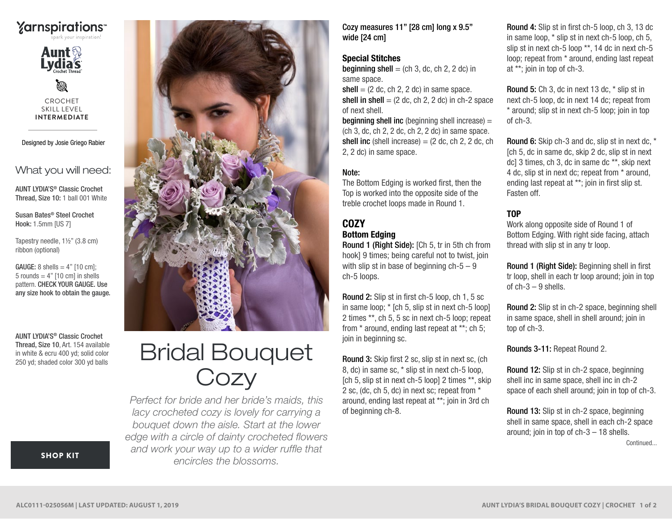



Ø CROCHET SKILL LEVEL **INTERMEDIATE**

Designed by Josie Griego Rabier

What you will need:

AUNT LYDIA'S® Classic Crochet Thread, Size 10: 1 ball 001 White

Susan Bates® Steel Crochet Hook: 1.5mm [US 7]

Tapestry needle, 1½" (3.8 cm) ribbon (optional)

 $GAUGE: 8 shells = 4" [10 cm]:$ 5 rounds  $= 4$ " [10 cm] in shells pattern. CHECK YOUR GAUGE. Use any size hook to obtain the gauge.

AUNT LYDIA'S® Classic Crochet Thread, Size 10, Art. 154 available in white & ecru 400 yd; solid color 250 yd; shaded color 300 yd balls



# Bridal Bouquet **Cozy**

*Perfect for bride and her bride's maids, this lacy crocheted cozy is lovely for carrying a bouquet down the aisle. Start at the lower edge with a circle of dainty crocheted flowers and work your way up to a wider ruffle that encircles the blossoms.*

Cozy measures 11" [28 cm] long x 9.5" wide [24 cm]

#### Special Stitches

**beginning shell** = (ch 3, dc, ch 2, 2 dc) in same space.

 $shell = (2 dc, ch 2, 2 dc)$  in same space. shell in shell  $= (2 \text{ dc}, \text{ch } 2, 2 \text{ dc})$  in ch-2 space of next shell.

**beginning shell inc** (beginning shell increase)  $=$ (ch 3, dc, ch 2, 2 dc, ch 2, 2 dc) in same space. shell inc (shell increase)  $= (2 \text{ dc}, \text{ ch } 2, 2 \text{ dc}, \text{ ch } 2)$ 2, 2 dc) in same space.

## Note:

The Bottom Edging is worked first, then the Top is worked into the opposite side of the treble crochet loops made in Round 1.

#### COZY Bottom Edging

Round 1 (Right Side): [Ch 5, tr in 5th ch from hook] 9 times; being careful not to twist, join with slip st in base of beginning  $ch-5-9$ ch-5 loops.

Round 2: Slip st in first ch-5 loop, ch 1, 5 sc in same loop; \* [ch 5, slip st in next ch-5 loop] 2 times \*\*, ch 5, 5 sc in next ch-5 loop; repeat from \* around, ending last repeat at \*\*; ch 5; join in beginning sc.

Round 3: Skip first 2 sc, slip st in next sc, (ch 8, dc) in same sc, \* slip st in next ch-5 loop, [ch 5, slip st in next ch-5 loop] 2 times \*\*, skip 2 sc, (dc, ch 5, dc) in next sc; repeat from \* around, ending last repeat at \*\*; join in 3rd ch of beginning ch-8.

Round 4: Slip st in first ch-5 loop, ch 3, 13 dc in same loop, \* slip st in next ch-5 loop, ch 5, slip st in next ch-5 loop \*\*, 14 dc in next ch-5 loop; repeat from \* around, ending last repeat at \*\*; join in top of ch-3.

Round 5: Ch 3, dc in next 13 dc, \* slip st in next ch-5 loop, dc in next 14 dc; repeat from \* around; slip st in next ch-5 loop; join in top of ch-3.

Round 6: Skip ch-3 and dc, slip st in next dc, \* [ch 5, dc in same dc, skip 2 dc, slip st in next dc] 3 times, ch 3, dc in same dc \*\*, skip next 4 dc, slip st in next dc; repeat from \* around, ending last repeat at \*\*; join in first slip st. Fasten off.

# TOP

Work along opposite side of Round 1 of Bottom Edging. With right side facing, attach thread with slip st in any tr loop.

Round 1 (Right Side): Beginning shell in first tr loop, shell in each tr loop around; join in top of  $ch-3 - 9$  shells.

Round 2: Slip st in ch-2 space, beginning shell in same space, shell in shell around; join in top of ch-3.

Rounds 3-11: Repeat Round 2.

Round 12: Slip st in ch-2 space, beginning shell inc in same space, shell inc in ch-2 space of each shell around; join in top of ch-3.

Round 13: Slip st in ch-2 space, beginning shell in same space, shell in each ch-2 space around; join in top of ch-3 – 18 shells. Continued...

[SHOP KIT](https://www.yarnspirations.com/aunt-lydias-bridal-bouquet-cozy/ALC0111-025056M.html#utm_source=pdf-yarnspirations&utm_medium=referral&utm_campaign=pdf-ALC0111-025056M)